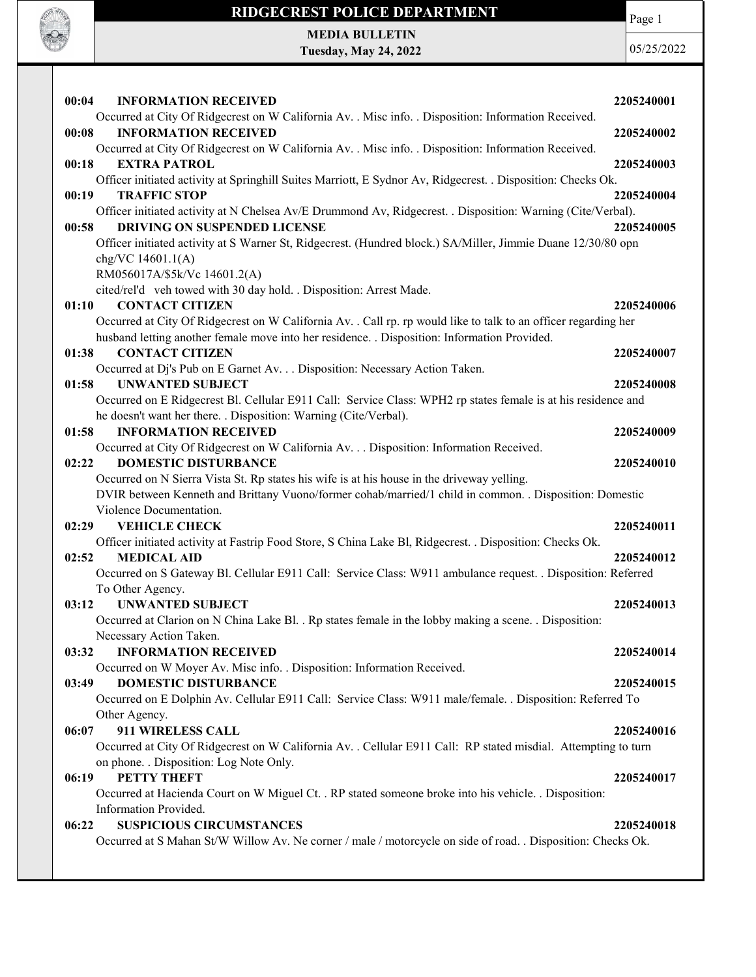

## RIDGECREST POLICE DEPARTMENT MEDIA BULLETIN

Tuesday, May 24, 2022

Page 1

| <b>INFORMATION RECEIVED</b><br>00:04                                                                                                         |            |
|----------------------------------------------------------------------------------------------------------------------------------------------|------------|
|                                                                                                                                              | 2205240001 |
| Occurred at City Of Ridgecrest on W California Av. . Misc info. . Disposition: Information Received.<br><b>INFORMATION RECEIVED</b><br>00:08 | 2205240002 |
| Occurred at City Of Ridgecrest on W California Av. . Misc info. . Disposition: Information Received.                                         |            |
| 00:18<br><b>EXTRA PATROL</b>                                                                                                                 | 2205240003 |
| Officer initiated activity at Springhill Suites Marriott, E Sydnor Av, Ridgecrest. . Disposition: Checks Ok.                                 |            |
| <b>TRAFFIC STOP</b><br>00:19                                                                                                                 | 2205240004 |
| Officer initiated activity at N Chelsea Av/E Drummond Av, Ridgecrest. . Disposition: Warning (Cite/Verbal).                                  |            |
| <b>DRIVING ON SUSPENDED LICENSE</b><br>00:58                                                                                                 | 2205240005 |
| Officer initiated activity at S Warner St, Ridgecrest. (Hundred block.) SA/Miller, Jimmie Duane 12/30/80 opn                                 |            |
| chg/VC 14601.1(A)                                                                                                                            |            |
| RM056017A/\$5k/Vc 14601.2(A)                                                                                                                 |            |
| cited/rel'd veh towed with 30 day hold. . Disposition: Arrest Made.                                                                          |            |
| <b>CONTACT CITIZEN</b><br>01:10                                                                                                              | 2205240006 |
| Occurred at City Of Ridgecrest on W California Av. . Call rp. rp would like to talk to an officer regarding her                              |            |
| husband letting another female move into her residence. . Disposition: Information Provided.                                                 |            |
| <b>CONTACT CITIZEN</b><br>01:38                                                                                                              | 2205240007 |
| Occurred at Dj's Pub on E Garnet Av. Disposition: Necessary Action Taken.                                                                    |            |
| <b>UNWANTED SUBJECT</b><br>01:58                                                                                                             | 2205240008 |
| Occurred on E Ridgecrest Bl. Cellular E911 Call: Service Class: WPH2 rp states female is at his residence and                                |            |
| he doesn't want her there. . Disposition: Warning (Cite/Verbal).                                                                             |            |
| <b>INFORMATION RECEIVED</b><br>01:58                                                                                                         | 2205240009 |
| Occurred at City Of Ridgecrest on W California Av. Disposition: Information Received.                                                        |            |
| <b>DOMESTIC DISTURBANCE</b><br>02:22                                                                                                         | 2205240010 |
| Occurred on N Sierra Vista St. Rp states his wife is at his house in the driveway yelling.                                                   |            |
| DVIR between Kenneth and Brittany Vuono/former cohab/married/1 child in common. . Disposition: Domestic                                      |            |
| Violence Documentation.                                                                                                                      |            |
| 02:29<br><b>VEHICLE CHECK</b>                                                                                                                | 2205240011 |
| Officer initiated activity at Fastrip Food Store, S China Lake Bl, Ridgecrest. . Disposition: Checks Ok.<br><b>MEDICAL AID</b>               |            |
| 02:52                                                                                                                                        | 2205240012 |
| Occurred on S Gateway Bl. Cellular E911 Call: Service Class: W911 ambulance request. . Disposition: Referred                                 |            |
| To Other Agency.                                                                                                                             |            |
| <b>UNWANTED SUBJECT</b><br>03:12                                                                                                             | 2205240013 |
| Occurred at Clarion on N China Lake Bl. . Rp states female in the lobby making a scene. . Disposition:                                       |            |
| Necessary Action Taken.                                                                                                                      |            |
| 03:32<br><b>INFORMATION RECEIVED</b>                                                                                                         | 2205240014 |
| Occurred on W Moyer Av. Misc info. . Disposition: Information Received.<br><b>DOMESTIC DISTURBANCE</b><br>03:49                              |            |
|                                                                                                                                              | 2205240015 |
| Occurred on E Dolphin Av. Cellular E911 Call: Service Class: W911 male/female. . Disposition: Referred To                                    |            |
| Other Agency.<br>06:07<br>911 WIRELESS CALL                                                                                                  |            |
|                                                                                                                                              | 2205240016 |
| Occurred at City Of Ridgecrest on W California Av. . Cellular E911 Call: RP stated misdial. Attempting to turn                               |            |
| on phone. . Disposition: Log Note Only.<br>PETTY THEFT                                                                                       |            |
| 06:19                                                                                                                                        | 2205240017 |
| Occurred at Hacienda Court on W Miguel Ct. . RP stated someone broke into his vehicle. . Disposition:<br>Information Provided.               |            |
|                                                                                                                                              |            |
| 06:22<br><b>SUSPICIOUS CIRCUMSTANCES</b>                                                                                                     | 2205240018 |
| Occurred at S Mahan St/W Willow Av. Ne corner / male / motorcycle on side of road. . Disposition: Checks Ok.                                 |            |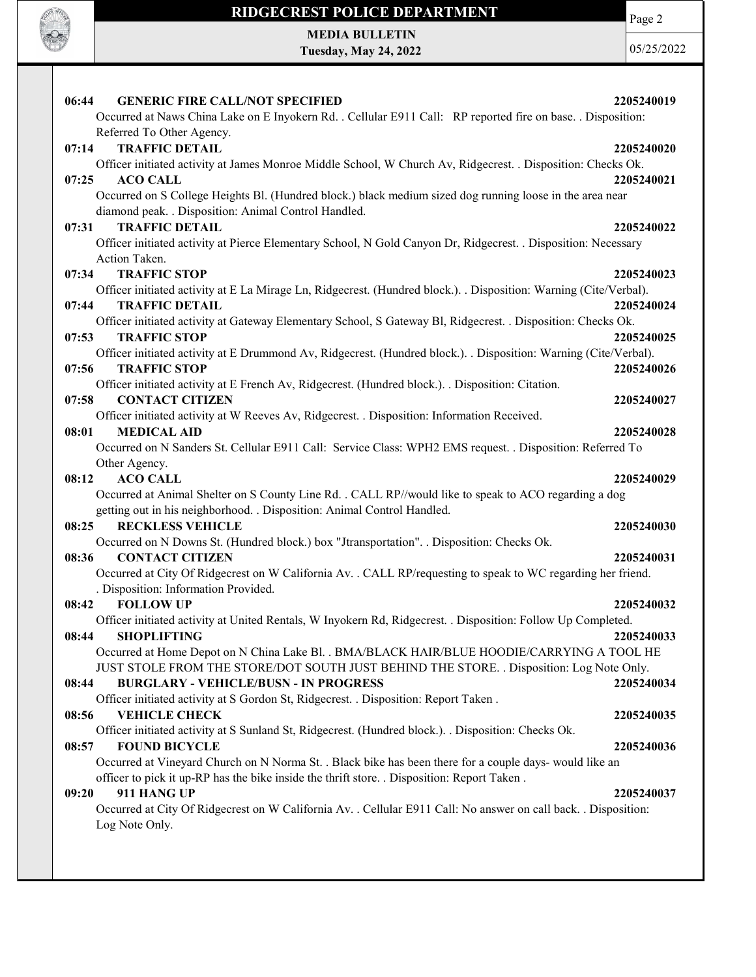

Page 2

MEDIA BULLETIN Tuesday, May 24, 2022

| <b>GENERIC FIRE CALL/NOT SPECIFIED</b><br>2205240019<br>06:44                                                                       |  |
|-------------------------------------------------------------------------------------------------------------------------------------|--|
| Occurred at Naws China Lake on E Inyokern Rd. . Cellular E911 Call: RP reported fire on base. . Disposition:                        |  |
| Referred To Other Agency.                                                                                                           |  |
| 07:14<br><b>TRAFFIC DETAIL</b><br>2205240020                                                                                        |  |
| Officer initiated activity at James Monroe Middle School, W Church Av, Ridgecrest. . Disposition: Checks Ok.                        |  |
| 07:25<br><b>ACO CALL</b><br>2205240021                                                                                              |  |
| Occurred on S College Heights Bl. (Hundred block.) black medium sized dog running loose in the area near                            |  |
| diamond peak. . Disposition: Animal Control Handled.                                                                                |  |
| <b>TRAFFIC DETAIL</b><br>07:31<br>2205240022                                                                                        |  |
| Officer initiated activity at Pierce Elementary School, N Gold Canyon Dr, Ridgecrest. . Disposition: Necessary                      |  |
| Action Taken.                                                                                                                       |  |
| <b>TRAFFIC STOP</b><br>07:34<br>2205240023                                                                                          |  |
| Officer initiated activity at E La Mirage Ln, Ridgecrest. (Hundred block.). . Disposition: Warning (Cite/Verbal).                   |  |
| <b>TRAFFIC DETAIL</b><br>07:44<br>2205240024                                                                                        |  |
| Officer initiated activity at Gateway Elementary School, S Gateway Bl, Ridgecrest. . Disposition: Checks Ok.                        |  |
| 07:53<br><b>TRAFFIC STOP</b><br>2205240025                                                                                          |  |
| Officer initiated activity at E Drummond Av, Ridgecrest. (Hundred block.). . Disposition: Warning (Cite/Verbal).                    |  |
| 07:56<br><b>TRAFFIC STOP</b><br>2205240026                                                                                          |  |
| Officer initiated activity at E French Av, Ridgecrest. (Hundred block.). . Disposition: Citation.<br>07:58                          |  |
| <b>CONTACT CITIZEN</b><br>2205240027<br>Officer initiated activity at W Reeves Av, Ridgecrest. . Disposition: Information Received. |  |
| 08:01<br><b>MEDICAL AID</b><br>2205240028                                                                                           |  |
| Occurred on N Sanders St. Cellular E911 Call: Service Class: WPH2 EMS request. . Disposition: Referred To                           |  |
| Other Agency.                                                                                                                       |  |
| <b>ACO CALL</b><br>08:12<br>2205240029                                                                                              |  |
| Occurred at Animal Shelter on S County Line Rd. . CALL RP//would like to speak to ACO regarding a dog                               |  |
| getting out in his neighborhood. . Disposition: Animal Control Handled.                                                             |  |
| <b>RECKLESS VEHICLE</b><br>08:25<br>2205240030                                                                                      |  |
| Occurred on N Downs St. (Hundred block.) box "Jtransportation". . Disposition: Checks Ok.                                           |  |
| 08:36<br><b>CONTACT CITIZEN</b><br>2205240031                                                                                       |  |
| Occurred at City Of Ridgecrest on W California Av. . CALL RP/requesting to speak to WC regarding her friend.                        |  |
| . Disposition: Information Provided.                                                                                                |  |
| 08:42<br><b>FOLLOW UP</b><br>2205240032                                                                                             |  |
| Officer initiated activity at United Rentals, W Inyokern Rd, Ridgecrest. . Disposition: Follow Up Completed.                        |  |
| 08:44<br><b>SHOPLIFTING</b><br>2205240033                                                                                           |  |
| Occurred at Home Depot on N China Lake Bl. . BMA/BLACK HAIR/BLUE HOODIE/CARRYING A TOOL HE                                          |  |
| JUST STOLE FROM THE STORE/DOT SOUTH JUST BEHIND THE STORE. . Disposition: Log Note Only.                                            |  |
| <b>BURGLARY - VEHICLE/BUSN - IN PROGRESS</b><br>2205240034<br>08:44                                                                 |  |
| Officer initiated activity at S Gordon St, Ridgecrest. . Disposition: Report Taken.                                                 |  |
| <b>VEHICLE CHECK</b><br>08:56<br>2205240035                                                                                         |  |
| Officer initiated activity at S Sunland St, Ridgecrest. (Hundred block.). Disposition: Checks Ok.                                   |  |
| 08:57<br><b>FOUND BICYCLE</b><br>2205240036                                                                                         |  |
| Occurred at Vineyard Church on N Norma St. . Black bike has been there for a couple days- would like an                             |  |
| officer to pick it up-RP has the bike inside the thrift store. . Disposition: Report Taken.                                         |  |
| 911 HANG UP<br>09:20<br>2205240037                                                                                                  |  |
| Occurred at City Of Ridgecrest on W California Av. . Cellular E911 Call: No answer on call back. . Disposition:                     |  |
| Log Note Only.                                                                                                                      |  |
|                                                                                                                                     |  |
|                                                                                                                                     |  |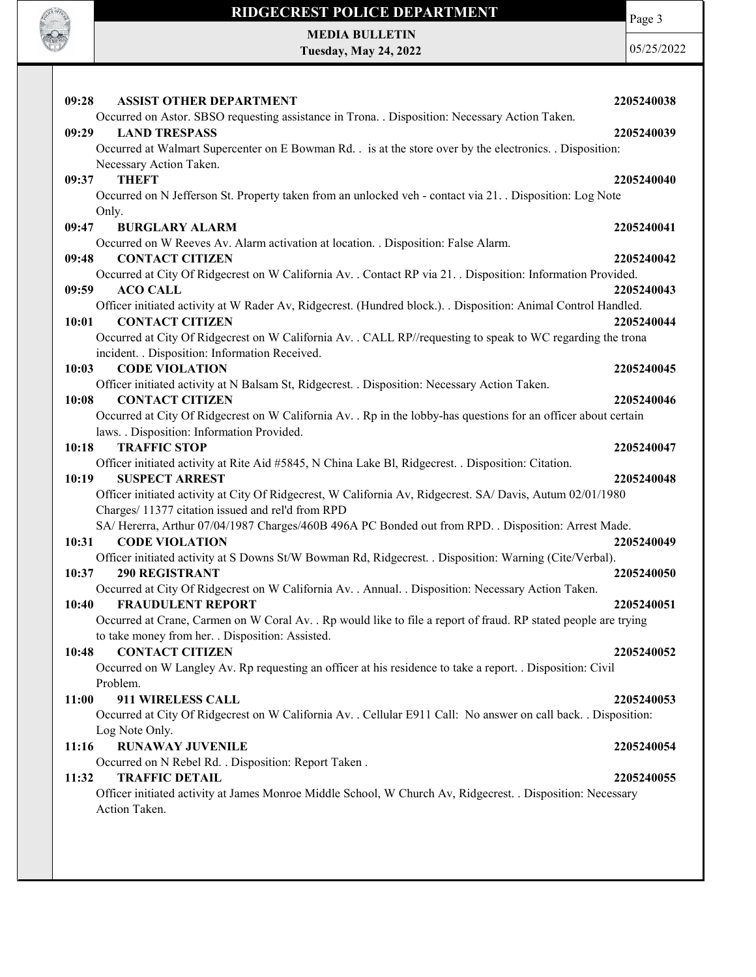

Page 3

MEDIA BULLETIN Tuesday, May 24, 2022

| <b>ASSIST OTHER DEPARTMENT</b><br>09:28                                                                                      | 2205240038 |
|------------------------------------------------------------------------------------------------------------------------------|------------|
| Occurred on Astor. SBSO requesting assistance in Trona. . Disposition: Necessary Action Taken.                               |            |
| 09:29<br><b>LAND TRESPASS</b>                                                                                                | 2205240039 |
| Occurred at Walmart Supercenter on E Bowman Rd. . is at the store over by the electronics. . Disposition:                    |            |
| Necessary Action Taken.                                                                                                      |            |
| 09:37<br><b>THEFT</b>                                                                                                        | 2205240040 |
| Occurred on N Jefferson St. Property taken from an unlocked veh - contact via 21. Disposition: Log Note<br>Only.             |            |
| 09:47<br><b>BURGLARY ALARM</b>                                                                                               | 2205240041 |
| Occurred on W Reeves Av. Alarm activation at location. . Disposition: False Alarm.                                           |            |
| 09:48<br><b>CONTACT CITIZEN</b>                                                                                              | 2205240042 |
| Occurred at City Of Ridgecrest on W California Av. . Contact RP via 21. . Disposition: Information Provided.                 |            |
| 09:59<br><b>ACO CALL</b>                                                                                                     | 2205240043 |
| Officer initiated activity at W Rader Av, Ridgecrest. (Hundred block.). . Disposition: Animal Control Handled.               |            |
| <b>CONTACT CITIZEN</b><br>10:01                                                                                              | 2205240044 |
| Occurred at City Of Ridgecrest on W California Av. . CALL RP//requesting to speak to WC regarding the trona                  |            |
| incident. . Disposition: Information Received.<br>10:03<br><b>CODE VIOLATION</b>                                             |            |
| Officer initiated activity at N Balsam St, Ridgecrest. . Disposition: Necessary Action Taken.                                | 2205240045 |
| 10:08<br><b>CONTACT CITIZEN</b>                                                                                              | 2205240046 |
| Occurred at City Of Ridgecrest on W California Av. . Rp in the lobby-has questions for an officer about certain              |            |
| laws. . Disposition: Information Provided.                                                                                   |            |
| <b>TRAFFIC STOP</b><br>10:18                                                                                                 | 2205240047 |
| Officer initiated activity at Rite Aid #5845, N China Lake Bl, Ridgecrest. . Disposition: Citation.                          |            |
| <b>SUSPECT ARREST</b><br>10:19                                                                                               | 2205240048 |
| Officer initiated activity at City Of Ridgecrest, W California Av, Ridgecrest. SA/ Davis, Autum 02/01/1980                   |            |
| Charges/ 11377 citation issued and rel'd from RPD                                                                            |            |
| SA/Hererra, Arthur 07/04/1987 Charges/460B 496A PC Bonded out from RPD. . Disposition: Arrest Made.                          |            |
| 10:31<br><b>CODE VIOLATION</b>                                                                                               | 2205240049 |
| Officer initiated activity at S Downs St/W Bowman Rd, Ridgecrest. . Disposition: Warning (Cite/Verbal).                      |            |
| <b>290 REGISTRANT</b><br>10:37                                                                                               | 2205240050 |
| Occurred at City Of Ridgecrest on W California Av. . Annual. . Disposition: Necessary Action Taken.                          |            |
| <b>FRAUDULENT REPORT</b><br>10:40                                                                                            | 2205240051 |
| Occurred at Crane, Carmen on W Coral Av. . Rp would like to file a report of fraud. RP stated people are trying              |            |
| to take money from her. . Disposition: Assisted.                                                                             |            |
| <b>CONTACT CITIZEN</b><br>10:48                                                                                              | 2205240052 |
| Occurred on W Langley Av. Rp requesting an officer at his residence to take a report. . Disposition: Civil                   |            |
| Problem.<br>911 WIRELESS CALL<br>11:00                                                                                       | 2205240053 |
| Occurred at City Of Ridgecrest on W California Av. . Cellular E911 Call: No answer on call back. . Disposition:              |            |
| Log Note Only.                                                                                                               |            |
| 11:16<br><b>RUNAWAY JUVENILE</b>                                                                                             | 2205240054 |
| Occurred on N Rebel Rd. . Disposition: Report Taken.                                                                         |            |
| <b>TRAFFIC DETAIL</b><br>11:32                                                                                               | 2205240055 |
| Officer initiated activity at James Monroe Middle School, W Church Av, Ridgecrest. . Disposition: Necessary<br>Action Taken. |            |
|                                                                                                                              |            |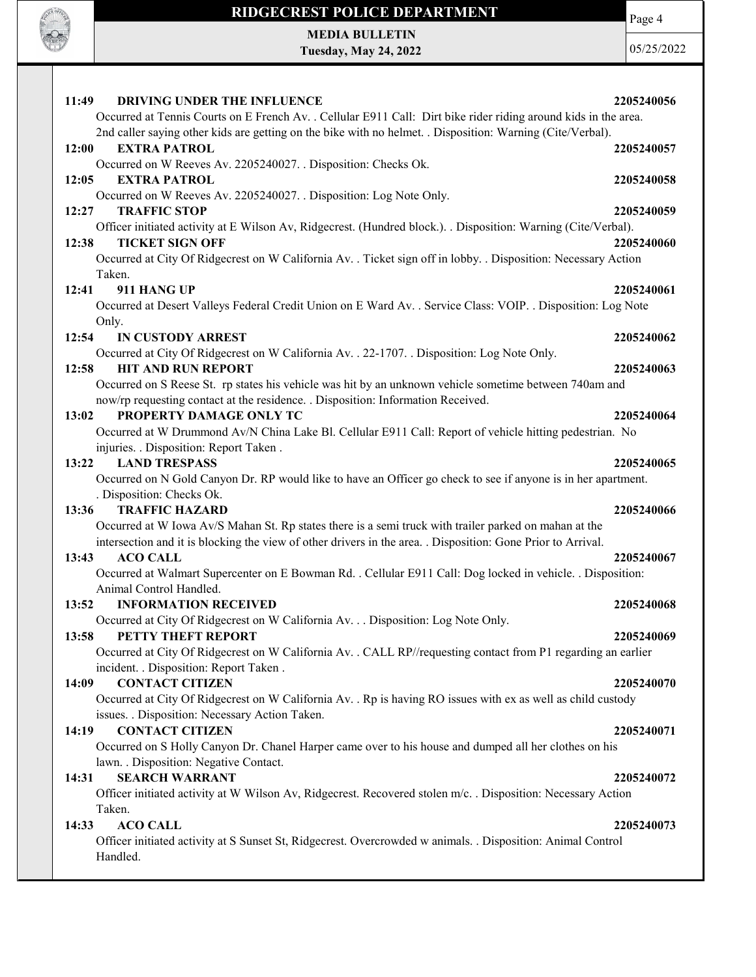

MEDIA BULLETIN Tuesday, May 24, 2022 Page 4

| 11:49<br>DRIVING UNDER THE INFLUENCE                                                                                                                                                                                          | 2205240056 |
|-------------------------------------------------------------------------------------------------------------------------------------------------------------------------------------------------------------------------------|------------|
| Occurred at Tennis Courts on E French Av. . Cellular E911 Call: Dirt bike rider riding around kids in the area.<br>2nd caller saying other kids are getting on the bike with no helmet. . Disposition: Warning (Cite/Verbal). |            |
| 12:00<br><b>EXTRA PATROL</b>                                                                                                                                                                                                  | 2205240057 |
| Occurred on W Reeves Av. 2205240027. . Disposition: Checks Ok.<br>12:05<br><b>EXTRA PATROL</b>                                                                                                                                | 2205240058 |
| Occurred on W Reeves Av. 2205240027. . Disposition: Log Note Only.                                                                                                                                                            |            |
| <b>TRAFFIC STOP</b><br>12:27                                                                                                                                                                                                  | 2205240059 |
| Officer initiated activity at E Wilson Av, Ridgecrest. (Hundred block.). . Disposition: Warning (Cite/Verbal).<br>12:38<br><b>TICKET SIGN OFF</b>                                                                             | 2205240060 |
| Occurred at City Of Ridgecrest on W California Av. . Ticket sign off in lobby. . Disposition: Necessary Action                                                                                                                |            |
| Taken.                                                                                                                                                                                                                        |            |
| 12:41<br>911 HANG UP                                                                                                                                                                                                          | 2205240061 |
| Occurred at Desert Valleys Federal Credit Union on E Ward Av. . Service Class: VOIP. . Disposition: Log Note                                                                                                                  |            |
| Only.                                                                                                                                                                                                                         |            |
| 12:54<br><b>IN CUSTODY ARREST</b>                                                                                                                                                                                             | 2205240062 |
| Occurred at City Of Ridgecrest on W California Av. . 22-1707. . Disposition: Log Note Only.                                                                                                                                   |            |
| 12:58<br><b>HIT AND RUN REPORT</b>                                                                                                                                                                                            | 2205240063 |
| Occurred on S Reese St. rp states his vehicle was hit by an unknown vehicle sometime between 740am and<br>now/rp requesting contact at the residence. . Disposition: Information Received.                                    |            |
| PROPERTY DAMAGE ONLY TC<br>13:02                                                                                                                                                                                              | 2205240064 |
| Occurred at W Drummond Av/N China Lake Bl. Cellular E911 Call: Report of vehicle hitting pedestrian. No                                                                                                                       |            |
| injuries. . Disposition: Report Taken.                                                                                                                                                                                        |            |
| <b>LAND TRESPASS</b><br>13:22                                                                                                                                                                                                 | 2205240065 |
| Occurred on N Gold Canyon Dr. RP would like to have an Officer go check to see if anyone is in her apartment.                                                                                                                 |            |
| . Disposition: Checks Ok.                                                                                                                                                                                                     |            |
| 13:36<br><b>TRAFFIC HAZARD</b>                                                                                                                                                                                                | 2205240066 |
| Occurred at W Iowa Av/S Mahan St. Rp states there is a semi truck with trailer parked on mahan at the                                                                                                                         |            |
| intersection and it is blocking the view of other drivers in the area. . Disposition: Gone Prior to Arrival.                                                                                                                  |            |
| <b>ACO CALL</b><br>13:43                                                                                                                                                                                                      | 2205240067 |
| Occurred at Walmart Supercenter on E Bowman Rd. . Cellular E911 Call: Dog locked in vehicle. . Disposition:                                                                                                                   |            |
| Animal Control Handled.                                                                                                                                                                                                       |            |
| <b>INFORMATION RECEIVED</b><br>13:52                                                                                                                                                                                          | 2205240068 |
| Occurred at City Of Ridgecrest on W California Av. Disposition: Log Note Only.                                                                                                                                                |            |
| PETTY THEFT REPORT<br>13:58                                                                                                                                                                                                   | 2205240069 |
| Occurred at City Of Ridgecrest on W California Av. . CALL RP//requesting contact from P1 regarding an earlier                                                                                                                 |            |
| incident. . Disposition: Report Taken .<br>14:09<br><b>CONTACT CITIZEN</b>                                                                                                                                                    | 2205240070 |
| Occurred at City Of Ridgecrest on W California Av. . Rp is having RO issues with ex as well as child custody                                                                                                                  |            |
| issues. . Disposition: Necessary Action Taken.                                                                                                                                                                                |            |
| <b>CONTACT CITIZEN</b><br>14:19                                                                                                                                                                                               | 2205240071 |
| Occurred on S Holly Canyon Dr. Chanel Harper came over to his house and dumped all her clothes on his                                                                                                                         |            |
| lawn. . Disposition: Negative Contact.                                                                                                                                                                                        |            |
| <b>SEARCH WARRANT</b><br>14:31                                                                                                                                                                                                | 2205240072 |
| Officer initiated activity at W Wilson Av, Ridgecrest. Recovered stolen m/c. . Disposition: Necessary Action                                                                                                                  |            |
| Taken.                                                                                                                                                                                                                        |            |
| <b>ACO CALL</b><br>14:33                                                                                                                                                                                                      | 2205240073 |
| Officer initiated activity at S Sunset St, Ridgecrest. Overcrowded w animals. . Disposition: Animal Control                                                                                                                   |            |
| Handled.                                                                                                                                                                                                                      |            |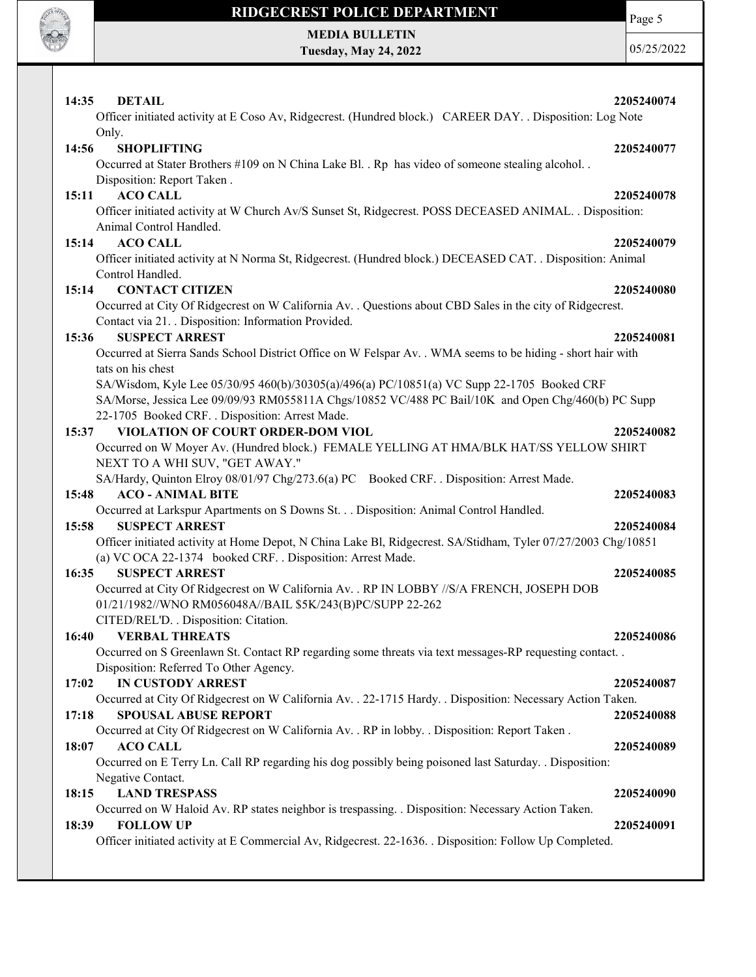

Page 5

MEDIA BULLETIN Tuesday, May 24, 2022

| <b>DETAIL</b><br>14:35                                                                                                                                            | 2205240074 |
|-------------------------------------------------------------------------------------------------------------------------------------------------------------------|------------|
| Officer initiated activity at E Coso Av, Ridgecrest. (Hundred block.) CAREER DAY. . Disposition: Log Note                                                         |            |
| Only.                                                                                                                                                             |            |
| <b>SHOPLIFTING</b><br>14:56                                                                                                                                       | 2205240077 |
| Occurred at Stater Brothers #109 on N China Lake Bl. . Rp has video of someone stealing alcohol                                                                   |            |
| Disposition: Report Taken.                                                                                                                                        |            |
| <b>ACO CALL</b><br>15:11                                                                                                                                          | 2205240078 |
| Officer initiated activity at W Church Av/S Sunset St, Ridgecrest. POSS DECEASED ANIMAL. . Disposition:                                                           |            |
| Animal Control Handled.                                                                                                                                           |            |
| <b>ACO CALL</b><br>15:14                                                                                                                                          | 2205240079 |
| Officer initiated activity at N Norma St, Ridgecrest. (Hundred block.) DECEASED CAT. . Disposition: Animal                                                        |            |
| Control Handled.                                                                                                                                                  |            |
| <b>CONTACT CITIZEN</b><br>15:14                                                                                                                                   | 2205240080 |
| Occurred at City Of Ridgecrest on W California Av. . Questions about CBD Sales in the city of Ridgecrest.<br>Contact via 21. . Disposition: Information Provided. |            |
| <b>SUSPECT ARREST</b><br>15:36                                                                                                                                    | 2205240081 |
| Occurred at Sierra Sands School District Office on W Felspar Av. . WMA seems to be hiding - short hair with                                                       |            |
| tats on his chest                                                                                                                                                 |            |
| SA/Wisdom, Kyle Lee 05/30/95 460(b)/30305(a)/496(a) PC/10851(a) VC Supp 22-1705 Booked CRF                                                                        |            |
| SA/Morse, Jessica Lee 09/09/93 RM055811A Chgs/10852 VC/488 PC Bail/10K and Open Chg/460(b) PC Supp                                                                |            |
| 22-1705 Booked CRF. . Disposition: Arrest Made.                                                                                                                   |            |
| VIOLATION OF COURT ORDER-DOM VIOL<br>15:37                                                                                                                        | 2205240082 |
| Occurred on W Moyer Av. (Hundred block.) FEMALE YELLING AT HMA/BLK HAT/SS YELLOW SHIRT                                                                            |            |
| NEXT TO A WHI SUV, "GET AWAY."                                                                                                                                    |            |
| SA/Hardy, Quinton Elroy 08/01/97 Chg/273.6(a) PC Booked CRF. . Disposition: Arrest Made.                                                                          |            |
| <b>ACO - ANIMAL BITE</b><br>15:48                                                                                                                                 | 2205240083 |
| Occurred at Larkspur Apartments on S Downs St. Disposition: Animal Control Handled.                                                                               |            |
| 15:58<br><b>SUSPECT ARREST</b>                                                                                                                                    | 2205240084 |
| Officer initiated activity at Home Depot, N China Lake Bl, Ridgecrest. SA/Stidham, Tyler 07/27/2003 Chg/10851                                                     |            |
| (a) VC OCA 22-1374 booked CRF. . Disposition: Arrest Made.                                                                                                        |            |
| 16:35<br><b>SUSPECT ARREST</b>                                                                                                                                    | 2205240085 |
| Occurred at City Of Ridgecrest on W California Av. . RP IN LOBBY //S/A FRENCH, JOSEPH DOB                                                                         |            |
| 01/21/1982//WNO RM056048A//BAIL \$5K/243(B)PC/SUPP 22-262                                                                                                         |            |
| CITED/REL'D. . Disposition: Citation.                                                                                                                             |            |
| 16:40 VERBAL THREATS                                                                                                                                              | 2205240086 |
| Occurred on S Greenlawn St. Contact RP regarding some threats via text messages-RP requesting contact                                                             |            |
| Disposition: Referred To Other Agency.                                                                                                                            |            |
| <b>IN CUSTODY ARREST</b><br>17:02                                                                                                                                 | 2205240087 |
| Occurred at City Of Ridgecrest on W California Av. . 22-1715 Hardy. . Disposition: Necessary Action Taken.                                                        |            |
| <b>SPOUSAL ABUSE REPORT</b><br>17:18                                                                                                                              | 2205240088 |
| Occurred at City Of Ridgecrest on W California Av. . RP in lobby. . Disposition: Report Taken.                                                                    |            |
| <b>ACO CALL</b><br>18:07                                                                                                                                          | 2205240089 |
| Occurred on E Terry Ln. Call RP regarding his dog possibly being poisoned last Saturday. . Disposition:                                                           |            |
| Negative Contact.                                                                                                                                                 |            |
| <b>LAND TRESPASS</b><br>18:15                                                                                                                                     | 2205240090 |
| Occurred on W Haloid Av. RP states neighbor is trespassing. . Disposition: Necessary Action Taken.                                                                |            |
| <b>FOLLOW UP</b><br>18:39                                                                                                                                         | 2205240091 |
| Officer initiated activity at E Commercial Av, Ridgecrest. 22-1636. . Disposition: Follow Up Completed.                                                           |            |
|                                                                                                                                                                   |            |
|                                                                                                                                                                   |            |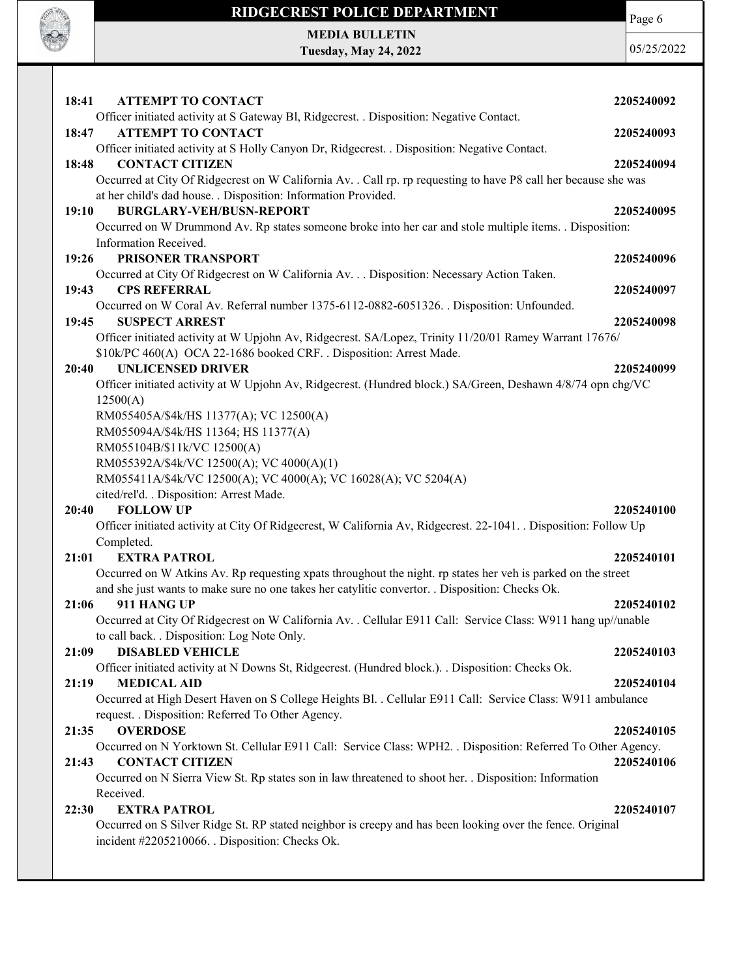